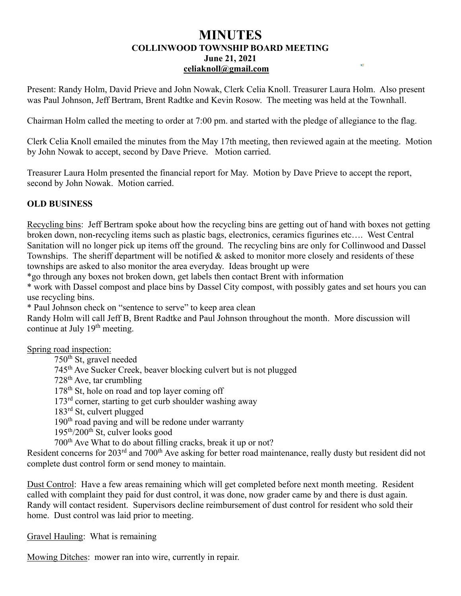## **MINUTES COLLINWOOD TOWNSHIP BOARD MEETING June 21, 2021 [celiaknoll@gmail.com](mailto:celiaknoll@gmail.com)**

Present: Randy Holm, David Prieve and John Nowak, Clerk Celia Knoll. Treasurer Laura Holm. Also present was Paul Johnson, Jeff Bertram, Brent Radtke and Kevin Rosow. The meeting was held at the Townhall.

Chairman Holm called the meeting to order at 7:00 pm. and started with the pledge of allegiance to the flag.

Clerk Celia Knoll emailed the minutes from the May 17th meeting, then reviewed again at the meeting. Motion by John Nowak to accept, second by Dave Prieve. Motion carried.

Treasurer Laura Holm presented the financial report for May. Motion by Dave Prieve to accept the report, second by John Nowak. Motion carried.

## **OLD BUSINESS**

Recycling bins: Jeff Bertram spoke about how the recycling bins are getting out of hand with boxes not getting broken down, non-recycling items such as plastic bags, electronics, ceramics figurines etc…. West Central Sanitation will no longer pick up items off the ground. The recycling bins are only for Collinwood and Dassel Townships. The sheriff department will be notified  $\&$  asked to monitor more closely and residents of these townships are asked to also monitor the area everyday. Ideas brought up were

\*go through any boxes not broken down, get labels then contact Brent with information

\* work with Dassel compost and place bins by Dassel City compost, with possibly gates and set hours you can use recycling bins.

\* Paul Johnson check on "sentence to serve" to keep area clean

Randy Holm will call Jeff B, Brent Radtke and Paul Johnson throughout the month. More discussion will continue at July 19<sup>th</sup> meeting.

Spring road inspection:

750th St, gravel needed 745th Ave Sucker Creek, beaver blocking culvert but is not plugged  $728<sup>th</sup>$  Ave, tar crumbling 178<sup>th</sup> St, hole on road and top layer coming off 173<sup>rd</sup> corner, starting to get curb shoulder washing away 183rd St, culvert plugged 190<sup>th</sup> road paving and will be redone under warranty  $195<sup>th</sup>/200<sup>th</sup>$  St, culver looks good 700th Ave What to do about filling cracks, break it up or not?

Resident concerns for 203<sup>rd</sup> and 700<sup>th</sup> Ave asking for better road maintenance, really dusty but resident did not complete dust control form or send money to maintain.

Dust Control: Have a few areas remaining which will get completed before next month meeting. Resident called with complaint they paid for dust control, it was done, now grader came by and there is dust again. Randy will contact resident. Supervisors decline reimbursement of dust control for resident who sold their home. Dust control was laid prior to meeting.

Gravel Hauling: What is remaining

Mowing Ditches: mower ran into wire, currently in repair.